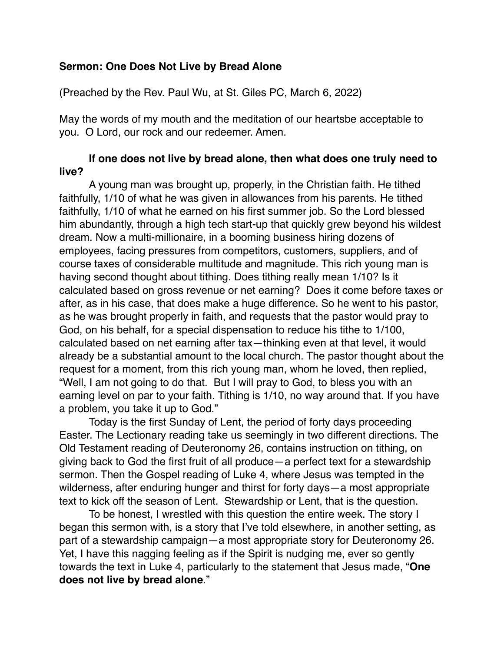## **Sermon: One Does Not Live by Bread Alone**

(Preached by the Rev. Paul Wu, at St. Giles PC, March 6, 2022)

May the words of my mouth and the meditation of our heartsbe acceptable to you. O Lord, our rock and our redeemer. Amen.

## **If one does not live by bread alone, then what does one truly need to live?**

A young man was brought up, properly, in the Christian faith. He tithed faithfully, 1/10 of what he was given in allowances from his parents. He tithed faithfully, 1/10 of what he earned on his first summer job. So the Lord blessed him abundantly, through a high tech start-up that quickly grew beyond his wildest dream. Now a multi-millionaire, in a booming business hiring dozens of employees, facing pressures from competitors, customers, suppliers, and of course taxes of considerable multitude and magnitude. This rich young man is having second thought about tithing. Does tithing really mean 1/10? Is it calculated based on gross revenue or net earning? Does it come before taxes or after, as in his case, that does make a huge difference. So he went to his pastor, as he was brought properly in faith, and requests that the pastor would pray to God, on his behalf, for a special dispensation to reduce his tithe to 1/100, calculated based on net earning after tax—thinking even at that level, it would already be a substantial amount to the local church. The pastor thought about the request for a moment, from this rich young man, whom he loved, then replied, "Well, I am not going to do that. But I will pray to God, to bless you with an earning level on par to your faith. Tithing is 1/10, no way around that. If you have a problem, you take it up to God."

Today is the first Sunday of Lent, the period of forty days proceeding Easter. The Lectionary reading take us seemingly in two different directions. The Old Testament reading of Deuteronomy 26, contains instruction on tithing, on giving back to God the first fruit of all produce—a perfect text for a stewardship sermon. Then the Gospel reading of Luke 4, where Jesus was tempted in the wilderness, after enduring hunger and thirst for forty days—a most appropriate text to kick off the season of Lent. Stewardship or Lent, that is the question.

To be honest, I wrestled with this question the entire week. The story I began this sermon with, is a story that I've told elsewhere, in another setting, as part of a stewardship campaign—a most appropriate story for Deuteronomy 26. Yet, I have this nagging feeling as if the Spirit is nudging me, ever so gently towards the text in Luke 4, particularly to the statement that Jesus made, "**One does not live by bread alone**."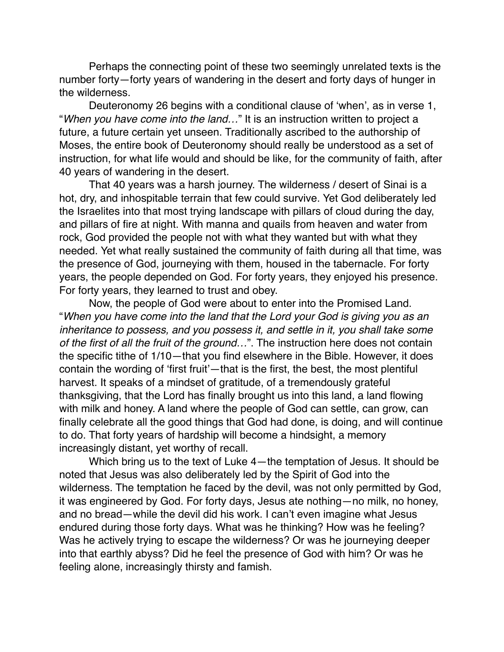Perhaps the connecting point of these two seemingly unrelated texts is the number forty—forty years of wandering in the desert and forty days of hunger in the wilderness.

Deuteronomy 26 begins with a conditional clause of 'when', as in verse 1, "*When you have come into the land…*" It is an instruction written to project a future, a future certain yet unseen. Traditionally ascribed to the authorship of Moses, the entire book of Deuteronomy should really be understood as a set of instruction, for what life would and should be like, for the community of faith, after 40 years of wandering in the desert.

That 40 years was a harsh journey. The wilderness / desert of Sinai is a hot, dry, and inhospitable terrain that few could survive. Yet God deliberately led the Israelites into that most trying landscape with pillars of cloud during the day, and pillars of fire at night. With manna and quails from heaven and water from rock, God provided the people not with what they wanted but with what they needed. Yet what really sustained the community of faith during all that time, was the presence of God, journeying with them, housed in the tabernacle. For forty years, the people depended on God. For forty years, they enjoyed his presence. For forty years, they learned to trust and obey.

Now, the people of God were about to enter into the Promised Land. "*When you have come into the land that the Lord your God is giving you as an inheritance to possess, and you possess it, and settle in it, you shall take some of the first of all the fruit of the ground…*". The instruction here does not contain the specific tithe of 1/10—that you find elsewhere in the Bible. However, it does contain the wording of 'first fruit'—that is the first, the best, the most plentiful harvest. It speaks of a mindset of gratitude, of a tremendously grateful thanksgiving, that the Lord has finally brought us into this land, a land flowing with milk and honey. A land where the people of God can settle, can grow, can finally celebrate all the good things that God had done, is doing, and will continue to do. That forty years of hardship will become a hindsight, a memory increasingly distant, yet worthy of recall.

Which bring us to the text of Luke 4—the temptation of Jesus. It should be noted that Jesus was also deliberately led by the Spirit of God into the wilderness. The temptation he faced by the devil, was not only permitted by God, it was engineered by God. For forty days, Jesus ate nothing—no milk, no honey, and no bread—while the devil did his work. I can't even imagine what Jesus endured during those forty days. What was he thinking? How was he feeling? Was he actively trying to escape the wilderness? Or was he journeying deeper into that earthly abyss? Did he feel the presence of God with him? Or was he feeling alone, increasingly thirsty and famish.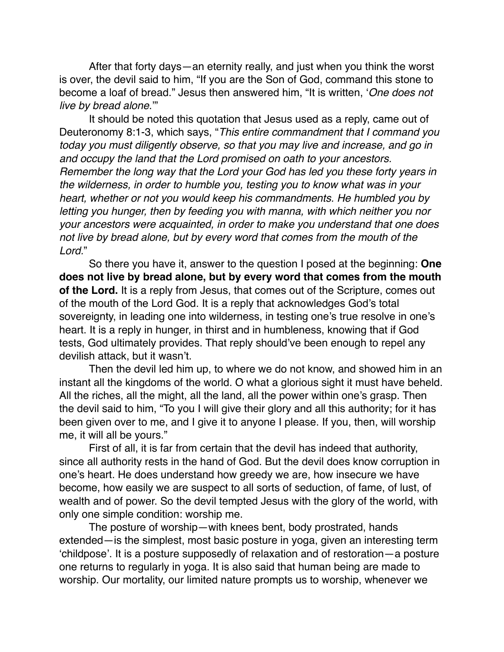After that forty days—an eternity really, and just when you think the worst is over, the devil said to him, "If you are the Son of God, command this stone to become a loaf of bread." Jesus then answered him, "It is written, '*One does not live by bread alone*.'"

It should be noted this quotation that Jesus used as a reply, came out of Deuteronomy 8:1-3, which says, "*This entire commandment that I command you today you must diligently observe, so that you may live and increase, and go in and occupy the land that the Lord promised on oath to your ancestors. Remember the long way that the Lord your God has led you these forty years in the wilderness, in order to humble you, testing you to know what was in your heart, whether or not you would keep his commandments. He humbled you by letting you hunger, then by feeding you with manna, with which neither you nor your ancestors were acquainted, in order to make you understand that one does not live by bread alone, but by every word that comes from the mouth of the Lord.*"

So there you have it, answer to the question I posed at the beginning: **One does not live by bread alone, but by every word that comes from the mouth of the Lord.** It is a reply from Jesus, that comes out of the Scripture, comes out of the mouth of the Lord God. It is a reply that acknowledges God's total sovereignty, in leading one into wilderness, in testing one's true resolve in one's heart. It is a reply in hunger, in thirst and in humbleness, knowing that if God tests, God ultimately provides. That reply should've been enough to repel any devilish attack, but it wasn't.

Then the devil led him up, to where we do not know, and showed him in an instant all the kingdoms of the world. O what a glorious sight it must have beheld. All the riches, all the might, all the land, all the power within one's grasp. Then the devil said to him, "To you I will give their glory and all this authority; for it has been given over to me, and I give it to anyone I please. If you, then, will worship me, it will all be yours."

First of all, it is far from certain that the devil has indeed that authority, since all authority rests in the hand of God. But the devil does know corruption in one's heart. He does understand how greedy we are, how insecure we have become, how easily we are suspect to all sorts of seduction, of fame, of lust, of wealth and of power. So the devil tempted Jesus with the glory of the world, with only one simple condition: worship me.

The posture of worship—with knees bent, body prostrated, hands extended—is the simplest, most basic posture in yoga, given an interesting term 'childpose'. It is a posture supposedly of relaxation and of restoration—a posture one returns to regularly in yoga. It is also said that human being are made to worship. Our mortality, our limited nature prompts us to worship, whenever we